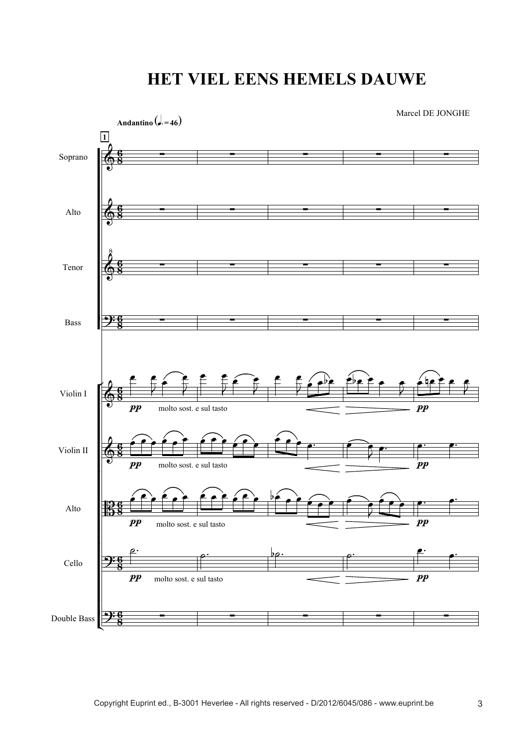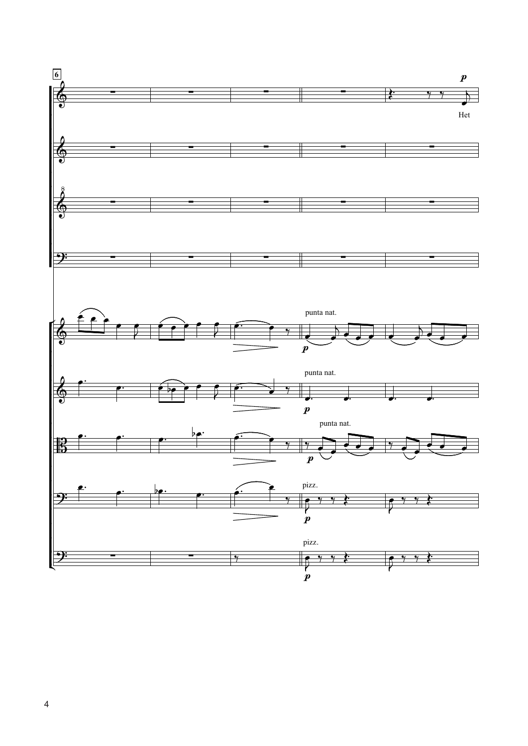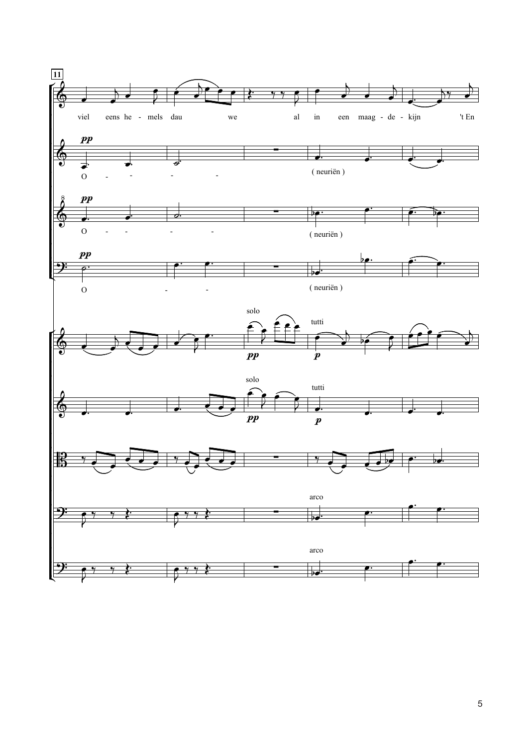

 $\overline{5}$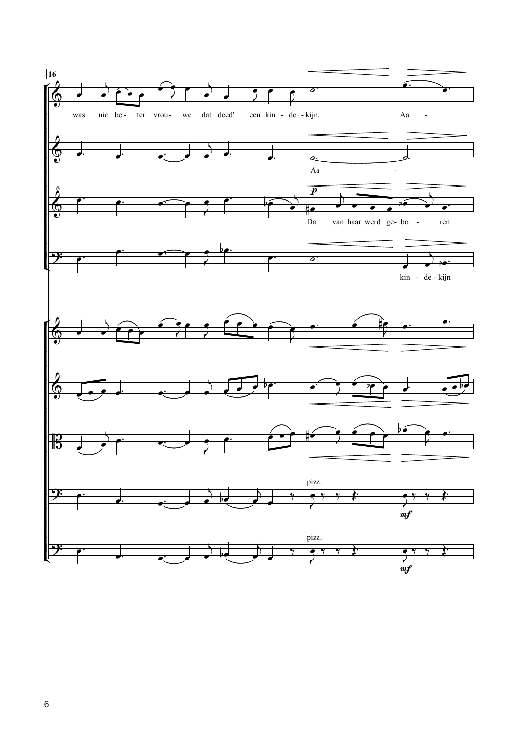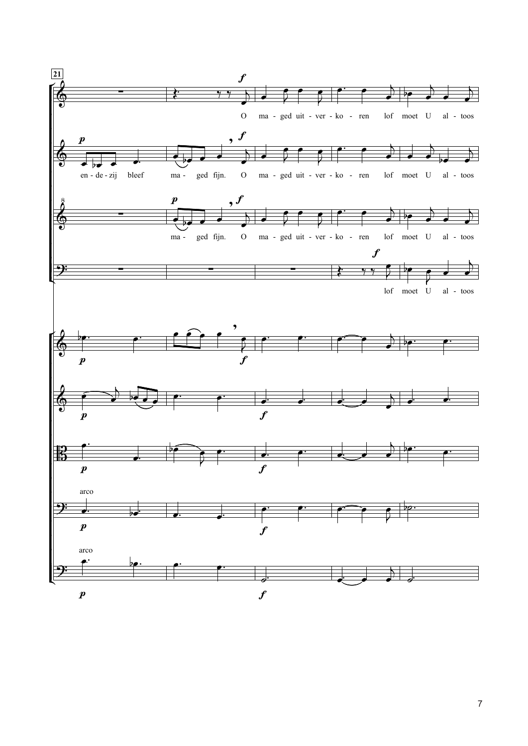

 $\overline{7}$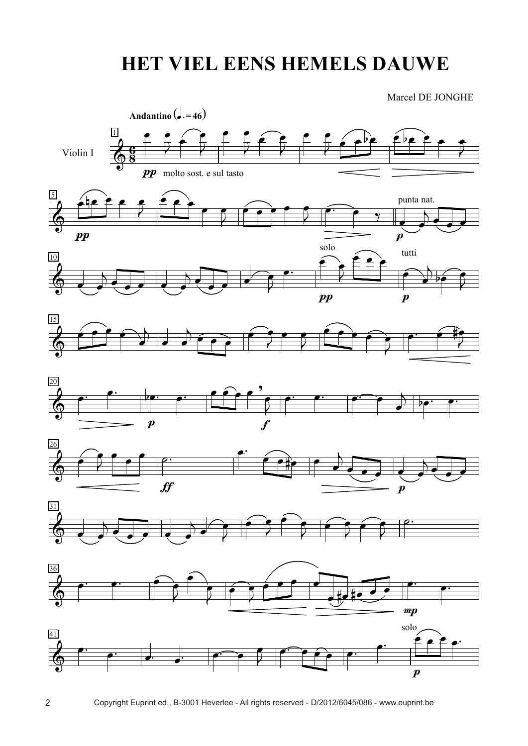Marcel DE JONGHE

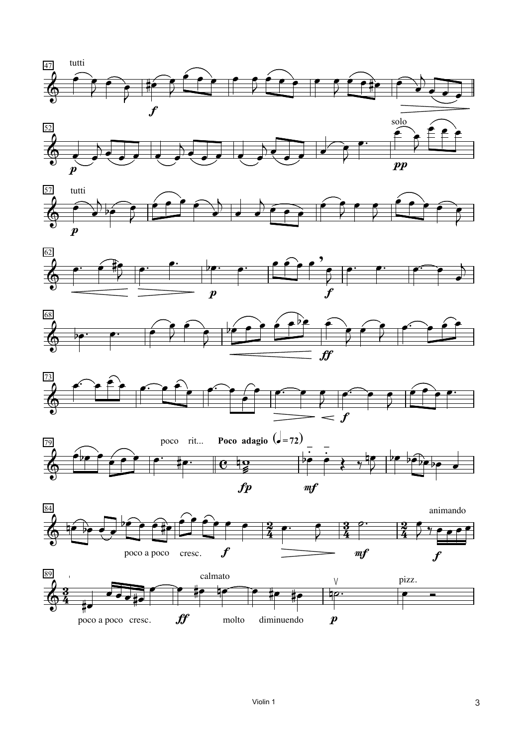













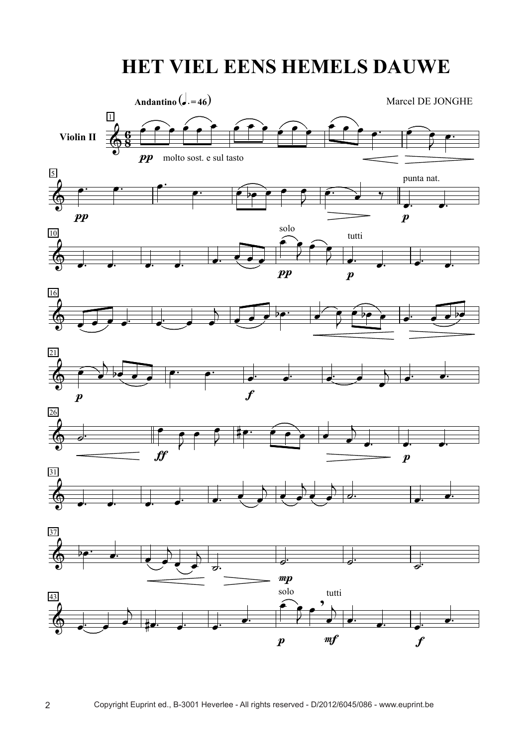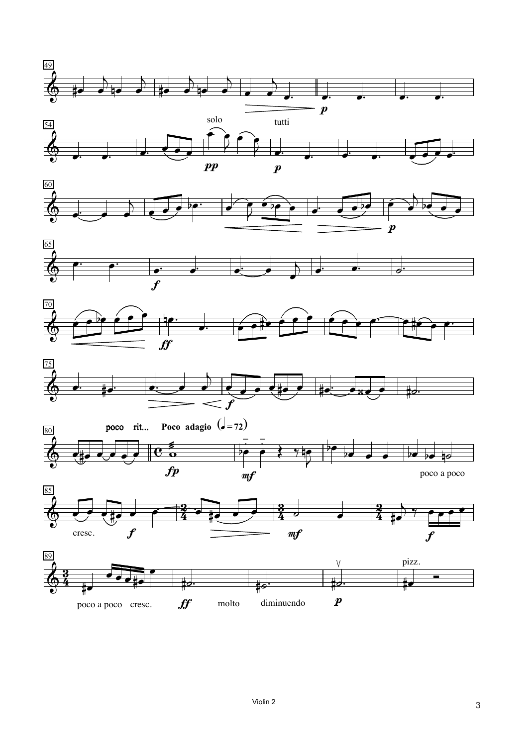













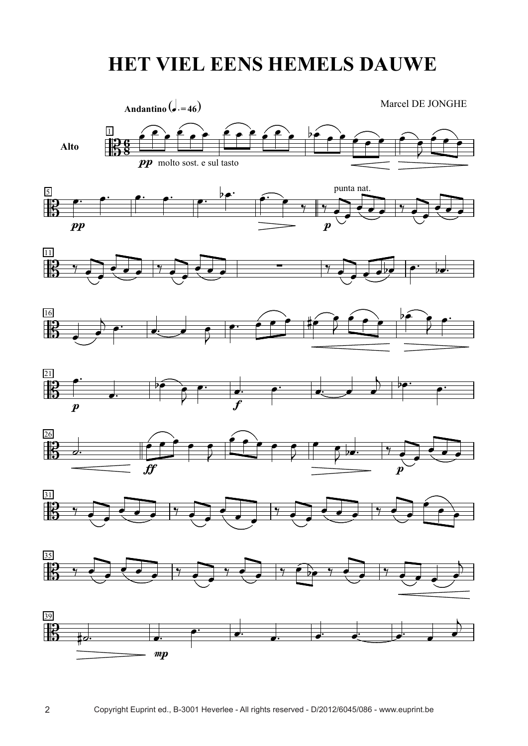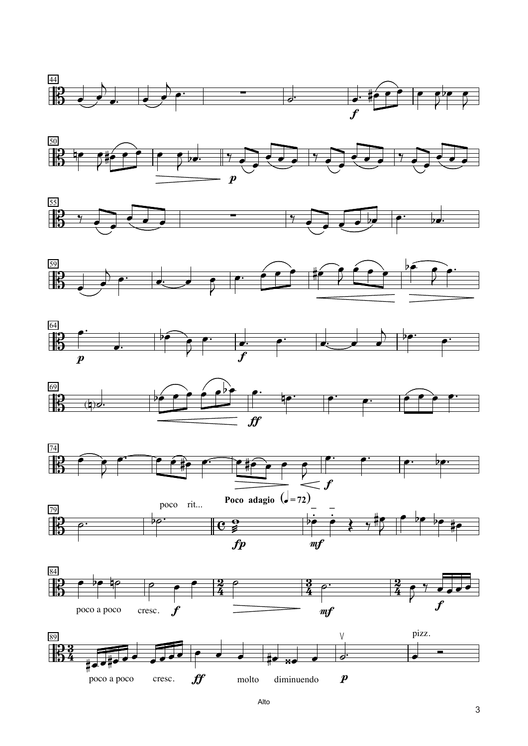















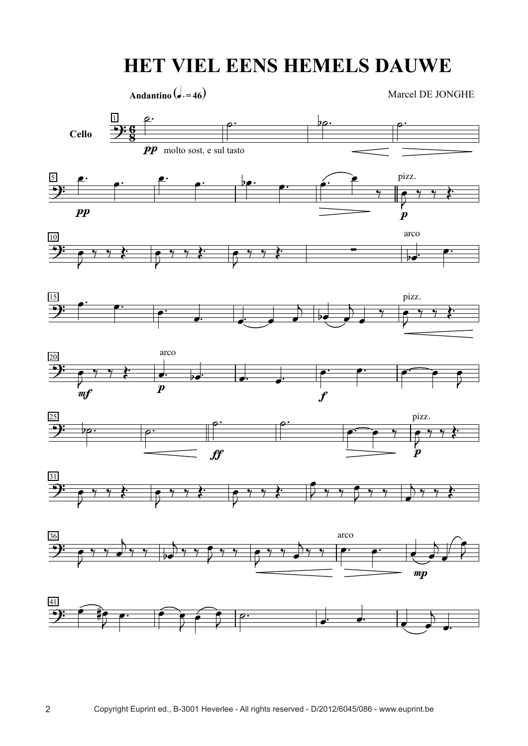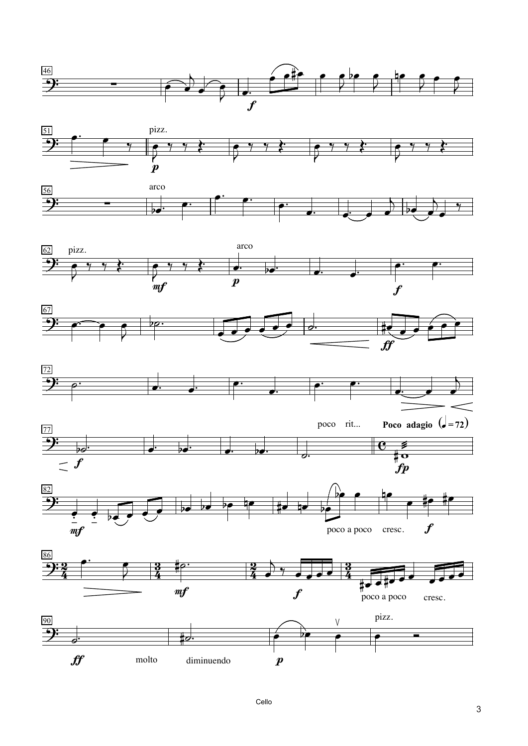

















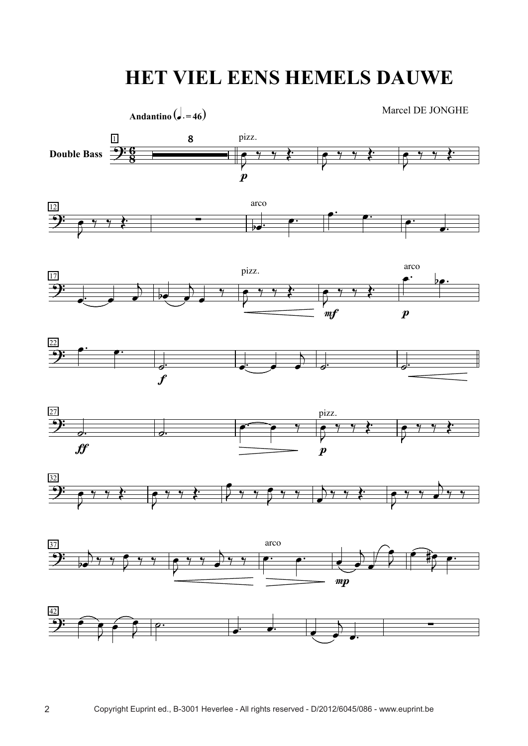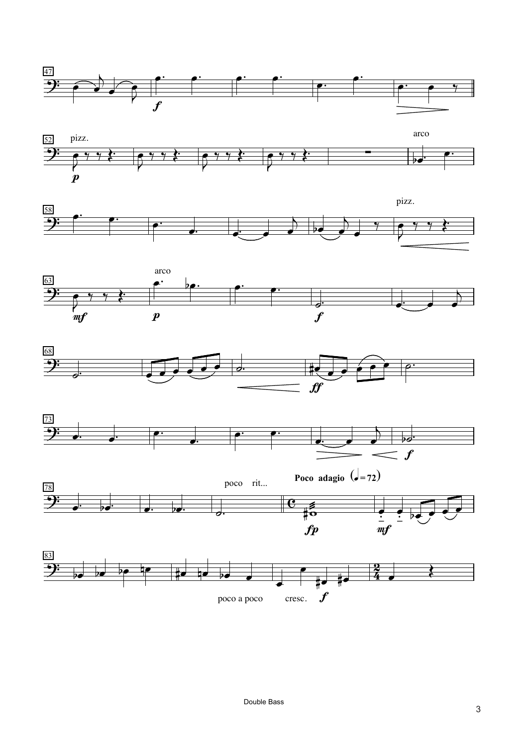













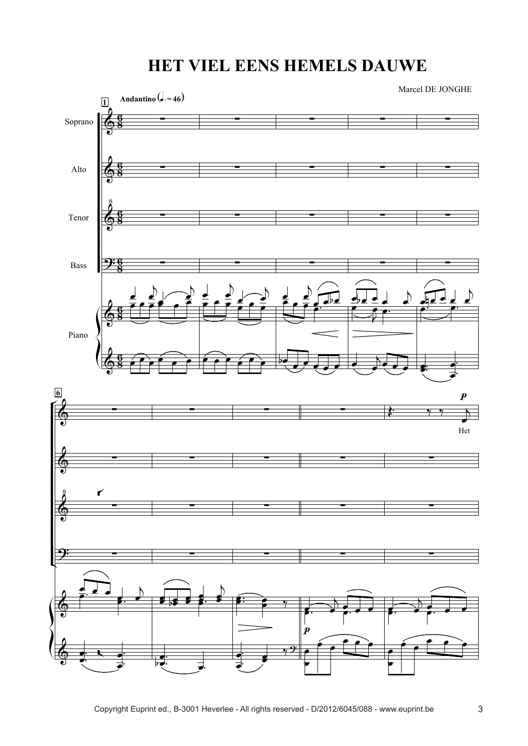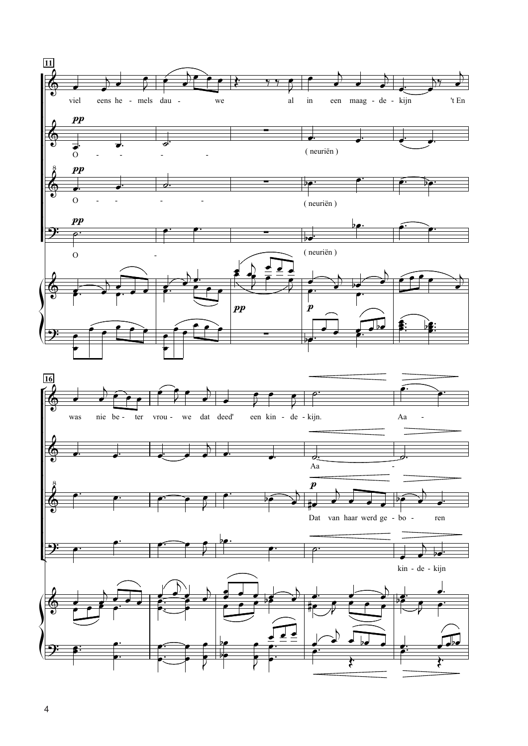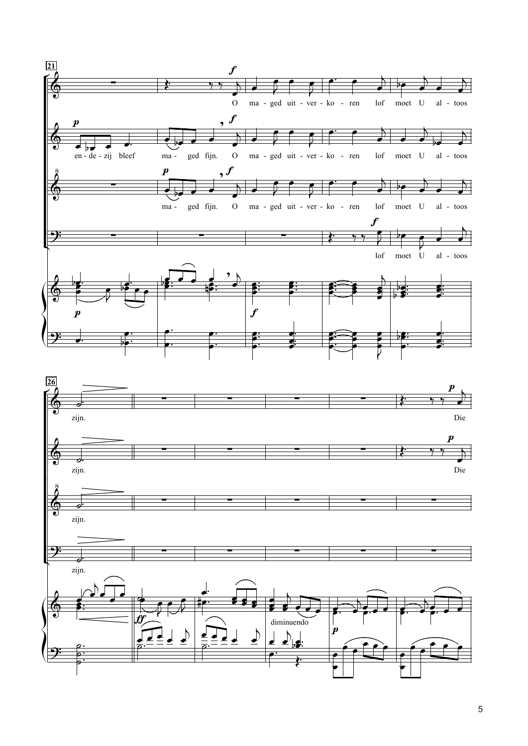

 $\sqrt{5}$